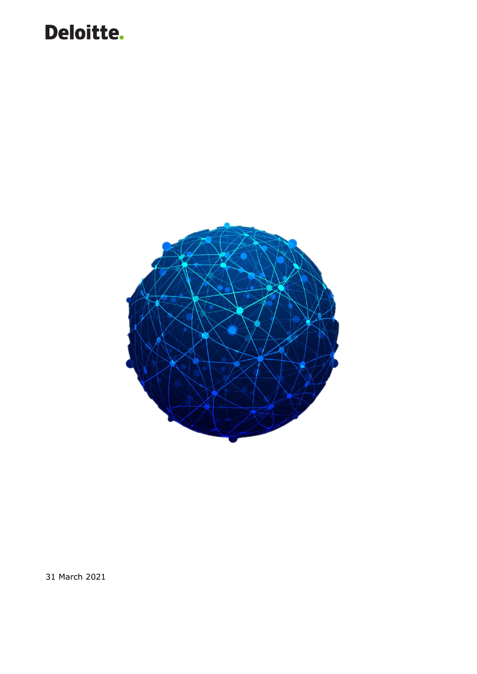

31 March 2021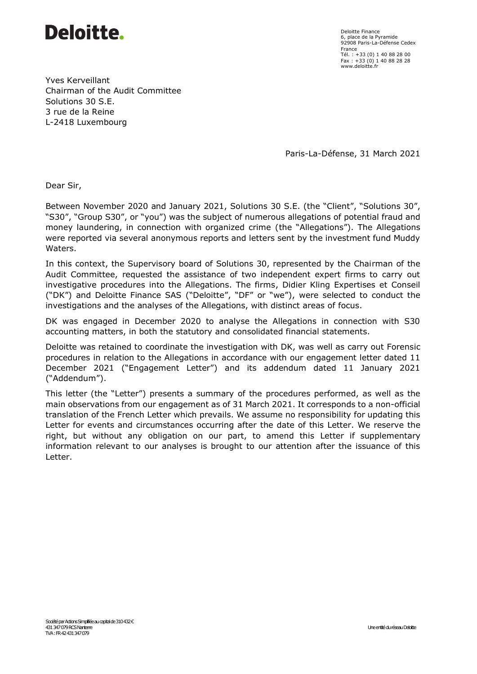

Deloitte Finance 6, place de la Pyramide 92908 Paris-La-Défense Cedex France Tél. : +33 (0) 1 40 88 28 00 Fax : +33 (0) 1 40 88 28 28 www.deloitte.fr

Yves Kerveillant Chairman of the Audit Committee Solutions 30 S.E. 3 rue de la Reine L-2418 Luxembourg

Paris-La-Défense, 31 March 2021

Dear Sir,

Between November 2020 and January 2021, Solutions 30 S.E. (the "Client", "Solutions 30", "S30", "Group S30", or "you") was the subject of numerous allegations of potential fraud and money laundering, in connection with organized crime (the "Allegations"). The Allegations were reported via several anonymous reports and letters sent by the investment fund Muddy Waters.

In this context, the Supervisory board of Solutions 30, represented by the Chairman of the Audit Committee, requested the assistance of two independent expert firms to carry out investigative procedures into the Allegations. The firms, Didier Kling Expertises et Conseil ("DK") and Deloitte Finance SAS ("Deloitte", "DF" or "we"), were selected to conduct the investigations and the analyses of the Allegations, with distinct areas of focus.

DK was engaged in December 2020 to analyse the Allegations in connection with S30 accounting matters, in both the statutory and consolidated financial statements.

Deloitte was retained to coordinate the investigation with DK, was well as carry out Forensic procedures in relation to the Allegations in accordance with our engagement letter dated 11 December 2021 ("Engagement Letter") and its addendum dated 11 January 2021 ("Addendum").

This letter (the "Letter") presents a summary of the procedures performed, as well as the main observations from our engagement as of 31 March 2021. It corresponds to a non-official translation of the French Letter which prevails. We assume no responsibility for updating this Letter for events and circumstances occurring after the date of this Letter. We reserve the right, but without any obligation on our part, to amend this Letter if supplementary information relevant to our analyses is brought to our attention after the issuance of this Letter.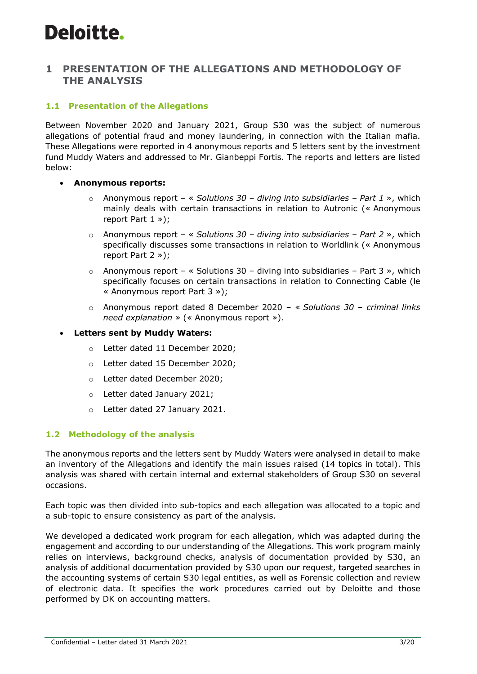## **1 PRESENTATION OF THE ALLEGATIONS AND METHODOLOGY OF THE ANALYSIS**

### **1.1 Presentation of the Allegations**

Between November 2020 and January 2021, Group S30 was the subject of numerous allegations of potential fraud and money laundering, in connection with the Italian mafia. These Allegations were reported in 4 anonymous reports and 5 letters sent by the investment fund Muddy Waters and addressed to Mr. Gianbeppi Fortis. The reports and letters are listed below:

#### • **Anonymous reports:**

- o Anonymous report « *Solutions 30 – diving into subsidiaries – Part 1* », which mainly deals with certain transactions in relation to Autronic (« Anonymous report Part 1 »);
- o Anonymous report « *Solutions 30 – diving into subsidiaries – Part 2* », which specifically discusses some transactions in relation to Worldlink (« Anonymous report Part 2 »);
- $\circ$  Anonymous report « Solutions 30 diving into subsidiaries Part 3 », which specifically focuses on certain transactions in relation to Connecting Cable (le « Anonymous report Part 3 »);
- o Anonymous report dated 8 December 2020 « *Solutions 30 – criminal links need explanation* » (« Anonymous report »).

#### • **Letters sent by Muddy Waters:**

- o Letter dated 11 December 2020;
- o Letter dated 15 December 2020;
- o Letter dated December 2020;
- o Letter dated January 2021;
- o Letter dated 27 January 2021.

### **1.2 Methodology of the analysis**

The anonymous reports and the letters sent by Muddy Waters were analysed in detail to make an inventory of the Allegations and identify the main issues raised (14 topics in total). This analysis was shared with certain internal and external stakeholders of Group S30 on several occasions.

Each topic was then divided into sub-topics and each allegation was allocated to a topic and a sub-topic to ensure consistency as part of the analysis.

We developed a dedicated work program for each allegation, which was adapted during the engagement and according to our understanding of the Allegations. This work program mainly relies on interviews, background checks, analysis of documentation provided by S30, an analysis of additional documentation provided by S30 upon our request, targeted searches in the accounting systems of certain S30 legal entities, as well as Forensic collection and review of electronic data. It specifies the work procedures carried out by Deloitte and those performed by DK on accounting matters.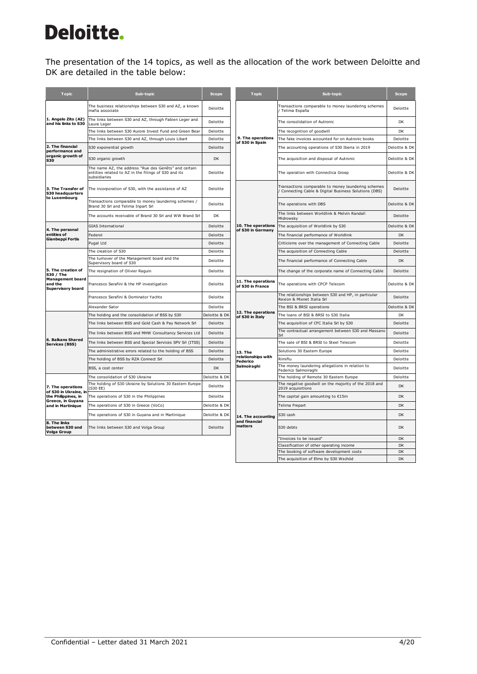The presentation of the 14 topics, as well as the allocation of the work between Deloitte and DK are detailed in the table below:

| <b>Topic</b>                                                   | Sub-topic                                                                                                                     | <b>Scope</b>  | <b>Topic</b>                                   | Sub-topic                                                                                                    | <b>Scope</b>  |
|----------------------------------------------------------------|-------------------------------------------------------------------------------------------------------------------------------|---------------|------------------------------------------------|--------------------------------------------------------------------------------------------------------------|---------------|
| 1. Angelo Zito (AZ)<br>and his links to S30                    | The business relationships between S30 and AZ, a known<br>mafia associate                                                     | Deloitte      |                                                | Transactions comparable to money laundering schemes<br>/ Telima España                                       | Deloitte      |
|                                                                | The links between S30 and AZ, through Fabien Leger and<br>Laura Leger                                                         | Deloitte      |                                                | The consolidation of Autronic                                                                                | DK            |
|                                                                | The links between S30 Aurore Invest Fund and Green Bear                                                                       | Deloitte      |                                                | The recognition of goodwill                                                                                  | DK            |
|                                                                | The links between S30 and AZ, through Louis Libart                                                                            | Deloitte      | 9. The operations<br>of S30 in Spain           | The fake invoices accounted for on Autronic books                                                            | Deloitte      |
| 2. The financial<br>performance and                            | S30 exponential growth                                                                                                        | Deloitte      |                                                | The accounting operations of S30 Iberia in 2019                                                              | Deloitte & DK |
| organic growth of<br>S30                                       | S30 organic growth                                                                                                            | <b>DK</b>     |                                                | The acquisition and disposal of Autronic                                                                     | Deloitte & DK |
|                                                                | The name AZ, the address "Rue des Genêts" and certain<br>entities related to AZ in the filings of S30 and its<br>subsidiaries | Deloitte      |                                                | The operation with Connectica Groep                                                                          | Deloitte & DK |
| 3. The Transfer of<br>S30 headquarters<br>to Luxembourg        | The incorporation of S30, with the assistance of AZ                                                                           | Deloitte      |                                                | Transactions comparable to money laundering schemes<br>/ Connecting Cable & Digital Business Solutions (DBS) | Deloitte      |
|                                                                | Transactions comparable to money laundering schemes /<br>Brand 30 Srl and Telima Inpart Srl                                   | Deloitte      |                                                | The operations with DBS                                                                                      | Deloitte & DK |
|                                                                | The accounts receivable of Brand 30 Srl and WW Brand Srl                                                                      | DK            |                                                | The links between Worldlink & Melvin Randall<br>Midrowsky                                                    | Deloitte      |
| 4. The personal                                                | <b>GIAS International</b>                                                                                                     | Deloitte      | 10. The operations<br>of S30 in Germany        | The acquisition of Worldlink by S30                                                                          | Deloitte & DK |
| entities of                                                    | Federol                                                                                                                       | Deloitte      |                                                | The financial performance of Worldlink                                                                       | DK            |
| Gianbeppi Fortis                                               | Pugal Ltd                                                                                                                     | Deloitte      |                                                | Criticisms over the management of Connecting Cable                                                           | Deloitte      |
|                                                                | The creation of S30                                                                                                           | Deloitte      |                                                | The acquisition of Connecting Cable                                                                          | Deloitte      |
|                                                                | The turnover of the Management board and the<br>Supervisory board of S30                                                      | Deloitte      |                                                | The financial performance of Connecting Cable                                                                | <b>DK</b>     |
| 5. The creation of<br>S30 / The                                | The resignation of Olivier Raguin                                                                                             | Deloitte      |                                                | The change of the corporate name of Connecting Cable                                                         | Deloitte      |
| <b>Management board</b><br>and the<br><b>Supervisory board</b> | Francesco Serafini & the HP investigation                                                                                     | Deloitte      | 11. The operations<br>of S30 in France         | The operations with CPCP Telecom                                                                             | Deloitte & DK |
|                                                                | Francesco Serafini & Dominator Yachts                                                                                         | Deloitte      |                                                | The relationships between S30 and HP, in particular<br>Rexion & Mixnet Italia Srl                            | Deloitte      |
|                                                                | Alexander Sator                                                                                                               | Deloitte      |                                                | The BSI & BRSI operations                                                                                    | Deloitte & DK |
|                                                                | The holding and the consolidation of BSS by S30                                                                               | Deloitte & DK | 12. The operations<br>of S30 in Italy          | The loans of BSI & BRSI to S30 Italia                                                                        | DK            |
|                                                                | The links between BSS and Gold Cash & Pay Network Srl                                                                         | Deloitte      |                                                | The acquisition of CFC Italia Srl by S30                                                                     | Deloitte      |
|                                                                | The links between BSS and MHW Consultancy Services Ltd                                                                        | Deloitte      |                                                | The contractual arrangement between S30 and Massano<br>Srl                                                   | Deloitte      |
| 6. Balkans Shared<br>Services (BSS)                            | The links between BSS and Special Services SPV Srl (ITSS)                                                                     | Deloitte      |                                                | The sale of BSI & BRSI to Steel Telecom                                                                      | Deloitte      |
|                                                                | The administrative errors related to the holding of BSS                                                                       | Deloitte      | 13. The                                        | Solutions 30 Eastern Europe                                                                                  | Deloitte      |
|                                                                | The holding of BSS by RZA Connect Srl                                                                                         | Deloitte      | relationships with<br>Federico                 | Rimiflu                                                                                                      | Deloitte      |
|                                                                | BSS, a cost center                                                                                                            | <b>DK</b>     | Salmoiraghi                                    | The money laundering allegations in relation to<br>Federico Salmoiraghi                                      | Deloitte      |
|                                                                | The consolidation of S30 Ukraine                                                                                              | Deloitte & DK |                                                | The holding of Remote 30 Eastern Europe                                                                      | Deloitte      |
| 7. The operations<br>of S30 in Ukraine, in                     | The holding of S30 Ukraine by Solutions 30 Eastern Europe<br>(S30 EE)                                                         | Deloitte      |                                                | The negative goodwill on the majority of the 2018 and<br>2019 acquisitions                                   | <b>DK</b>     |
| the Philippines, in                                            | The operations of S30 in the Philippines                                                                                      | Deloitte      |                                                | The capital gain amounting to €15m                                                                           | <b>DK</b>     |
| Greece, in Guyana<br>and in Martinique                         | The operations of S30 in Greece (VoCo)                                                                                        | Deloitte & DK |                                                | Telima Frepart                                                                                               | DK            |
|                                                                | The operations of S30 in Guyana and in Martinique                                                                             | Deloitte & DK | 14. The accounting<br>and financial<br>matters | 530 cash                                                                                                     | <b>DK</b>     |
| 8. The links<br>between S30 and<br>Volga Group                 | The links between S30 and Volga Group                                                                                         | Deloitte      |                                                | S30 debts                                                                                                    | <b>DK</b>     |
|                                                                |                                                                                                                               |               |                                                | "Invoices to be issued"                                                                                      | <b>DK</b>     |
|                                                                |                                                                                                                               |               |                                                | Classification of other operating income                                                                     | DK            |
|                                                                |                                                                                                                               |               |                                                | The booking of software development costs                                                                    | <b>DK</b>     |
|                                                                |                                                                                                                               |               |                                                | The acquisition of Elmo by S30 Wschód                                                                        | <b>DK</b>     |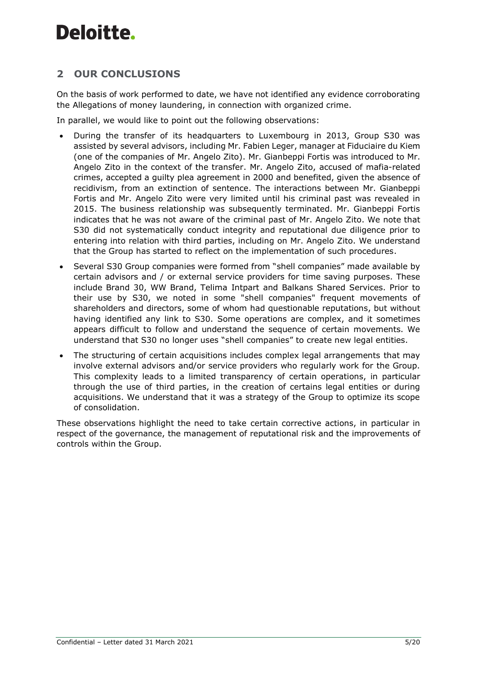## **2 OUR CONCLUSIONS**

On the basis of work performed to date, we have not identified any evidence corroborating the Allegations of money laundering, in connection with organized crime.

In parallel, we would like to point out the following observations:

- During the transfer of its headquarters to Luxembourg in 2013, Group S30 was assisted by several advisors, including Mr. Fabien Leger, manager at Fiduciaire du Kiem (one of the companies of Mr. Angelo Zito). Mr. Gianbeppi Fortis was introduced to Mr. Angelo Zito in the context of the transfer. Mr. Angelo Zito, accused of mafia-related crimes, accepted a guilty plea agreement in 2000 and benefited, given the absence of recidivism, from an extinction of sentence. The interactions between Mr. Gianbeppi Fortis and Mr. Angelo Zito were very limited until his criminal past was revealed in 2015. The business relationship was subsequently terminated. Mr. Gianbeppi Fortis indicates that he was not aware of the criminal past of Mr. Angelo Zito. We note that S30 did not systematically conduct integrity and reputational due diligence prior to entering into relation with third parties, including on Mr. Angelo Zito. We understand that the Group has started to reflect on the implementation of such procedures.
- Several S30 Group companies were formed from "shell companies" made available by certain advisors and / or external service providers for time saving purposes. These include Brand 30, WW Brand, Telima Intpart and Balkans Shared Services. Prior to their use by S30, we noted in some "shell companies" frequent movements of shareholders and directors, some of whom had questionable reputations, but without having identified any link to S30. Some operations are complex, and it sometimes appears difficult to follow and understand the sequence of certain movements. We understand that S30 no longer uses "shell companies" to create new legal entities.
- The structuring of certain acquisitions includes complex legal arrangements that may involve external advisors and/or service providers who regularly work for the Group. This complexity leads to a limited transparency of certain operations, in particular through the use of third parties, in the creation of certains legal entities or during acquisitions. We understand that it was a strategy of the Group to optimize its scope of consolidation.

These observations highlight the need to take certain corrective actions, in particular in respect of the governance, the management of reputational risk and the improvements of controls within the Group.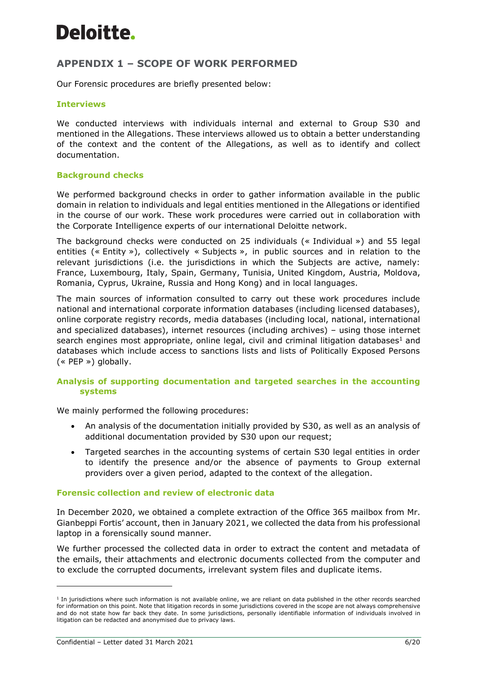## **APPENDIX 1 – SCOPE OF WORK PERFORMED**

Our Forensic procedures are briefly presented below:

#### **Interviews**

We conducted interviews with individuals internal and external to Group S30 and mentioned in the Allegations. These interviews allowed us to obtain a better understanding of the context and the content of the Allegations, as well as to identify and collect documentation.

#### **Background checks**

We performed background checks in order to gather information available in the public domain in relation to individuals and legal entities mentioned in the Allegations or identified in the course of our work. These work procedures were carried out in collaboration with the Corporate Intelligence experts of our international Deloitte network.

The background checks were conducted on 25 individuals (« Individual ») and 55 legal entities (« Entity »), collectively « Subjects », in public sources and in relation to the relevant jurisdictions (i.e. the jurisdictions in which the Subjects are active, namely: France, Luxembourg, Italy, Spain, Germany, Tunisia, United Kingdom, Austria, Moldova, Romania, Cyprus, Ukraine, Russia and Hong Kong) and in local languages.

The main sources of information consulted to carry out these work procedures include national and international corporate information databases (including licensed databases), online corporate registry records, media databases (including local, national, international and specialized databases), internet resources (including archives) – using those internet search engines most appropriate, online legal, civil and criminal litigation databases<sup>1</sup> and databases which include access to sanctions lists and lists of Politically Exposed Persons (« PEP ») globally.

### **Analysis of supporting documentation and targeted searches in the accounting systems**

We mainly performed the following procedures:

- An analysis of the documentation initially provided by S30, as well as an analysis of additional documentation provided by S30 upon our request;
- Targeted searches in the accounting systems of certain S30 legal entities in order to identify the presence and/or the absence of payments to Group external providers over a given period, adapted to the context of the allegation.

#### **Forensic collection and review of electronic data**

In December 2020, we obtained a complete extraction of the Office 365 mailbox from Mr. Gianbeppi Fortis' account, then in January 2021, we collected the data from his professional laptop in a forensically sound manner.

We further processed the collected data in order to extract the content and metadata of the emails, their attachments and electronic documents collected from the computer and to exclude the corrupted documents, irrelevant system files and duplicate items.

<sup>&</sup>lt;sup>1</sup> In jurisdictions where such information is not available online, we are reliant on data published in the other records searched for information on this point. Note that litigation records in some jurisdictions covered in the scope are not always comprehensive and do not state how far back they date. In some jurisdictions, personally identifiable information of individuals involved in litigation can be redacted and anonymised due to privacy laws.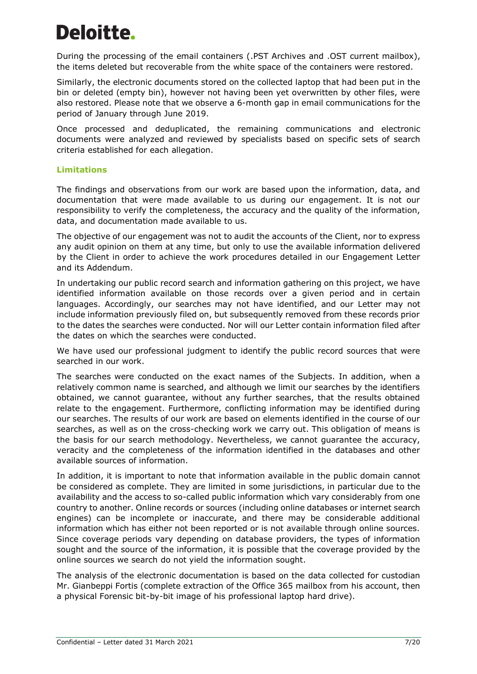During the processing of the email containers (.PST Archives and .OST current mailbox), the items deleted but recoverable from the white space of the containers were restored.

Similarly, the electronic documents stored on the collected laptop that had been put in the bin or deleted (empty bin), however not having been yet overwritten by other files, were also restored. Please note that we observe a 6-month gap in email communications for the period of January through June 2019.

Once processed and deduplicated, the remaining communications and electronic documents were analyzed and reviewed by specialists based on specific sets of search criteria established for each allegation.

### **Limitations**

The findings and observations from our work are based upon the information, data, and documentation that were made available to us during our engagement. It is not our responsibility to verify the completeness, the accuracy and the quality of the information, data, and documentation made available to us.

The objective of our engagement was not to audit the accounts of the Client, nor to express any audit opinion on them at any time, but only to use the available information delivered by the Client in order to achieve the work procedures detailed in our Engagement Letter and its Addendum.

In undertaking our public record search and information gathering on this project, we have identified information available on those records over a given period and in certain languages. Accordingly, our searches may not have identified, and our Letter may not include information previously filed on, but subsequently removed from these records prior to the dates the searches were conducted. Nor will our Letter contain information filed after the dates on which the searches were conducted.

We have used our professional judgment to identify the public record sources that were searched in our work.

The searches were conducted on the exact names of the Subjects. In addition, when a relatively common name is searched, and although we limit our searches by the identifiers obtained, we cannot guarantee, without any further searches, that the results obtained relate to the engagement. Furthermore, conflicting information may be identified during our searches. The results of our work are based on elements identified in the course of our searches, as well as on the cross-checking work we carry out. This obligation of means is the basis for our search methodology. Nevertheless, we cannot guarantee the accuracy, veracity and the completeness of the information identified in the databases and other available sources of information.

In addition, it is important to note that information available in the public domain cannot be considered as complete. They are limited in some jurisdictions, in particular due to the availability and the access to so-called public information which vary considerably from one country to another. Online records or sources (including online databases or internet search engines) can be incomplete or inaccurate, and there may be considerable additional information which has either not been reported or is not available through online sources. Since coverage periods vary depending on database providers, the types of information sought and the source of the information, it is possible that the coverage provided by the online sources we search do not yield the information sought.

The analysis of the electronic documentation is based on the data collected for custodian Mr. Gianbeppi Fortis (complete extraction of the Office 365 mailbox from his account, then a physical Forensic bit-by-bit image of his professional laptop hard drive).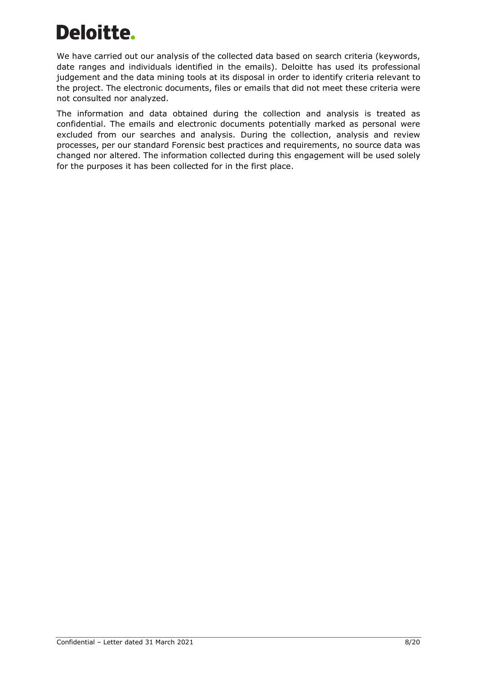We have carried out our analysis of the collected data based on search criteria (keywords, date ranges and individuals identified in the emails). Deloitte has used its professional judgement and the data mining tools at its disposal in order to identify criteria relevant to the project. The electronic documents, files or emails that did not meet these criteria were not consulted nor analyzed.

The information and data obtained during the collection and analysis is treated as confidential. The emails and electronic documents potentially marked as personal were excluded from our searches and analysis. During the collection, analysis and review processes, per our standard Forensic best practices and requirements, no source data was changed nor altered. The information collected during this engagement will be used solely for the purposes it has been collected for in the first place.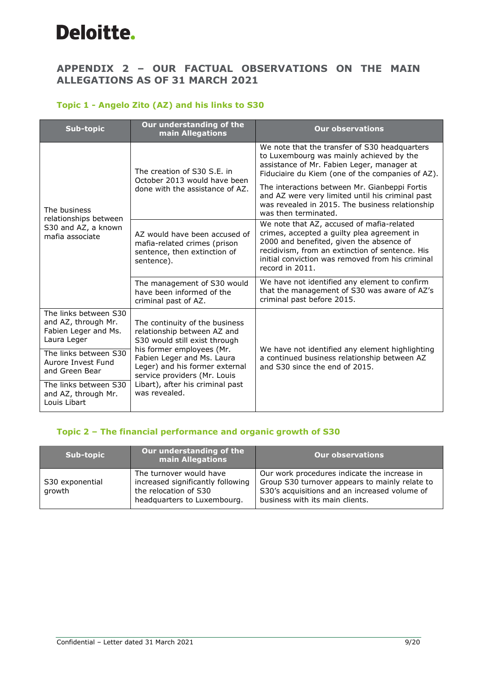## **APPENDIX 2 – OUR FACTUAL OBSERVATIONS ON THE MAIN ALLEGATIONS AS OF 31 MARCH 2021**

### **Topic 1 - Angelo Zito (AZ) and his links to S30**

| <b>Sub-topic</b>                                                                    | Our understanding of the<br>main Allegations                                                                                                                                                                                                                                     | <b>Our observations</b>                                                                                                                                                                                                                                        |
|-------------------------------------------------------------------------------------|----------------------------------------------------------------------------------------------------------------------------------------------------------------------------------------------------------------------------------------------------------------------------------|----------------------------------------------------------------------------------------------------------------------------------------------------------------------------------------------------------------------------------------------------------------|
|                                                                                     | The creation of S30 S.E. in<br>October 2013 would have been<br>done with the assistance of AZ.                                                                                                                                                                                   | We note that the transfer of S30 headquarters<br>to Luxembourg was mainly achieved by the<br>assistance of Mr. Fabien Leger, manager at<br>Fiduciaire du Kiem (one of the companies of AZ).                                                                    |
| The business                                                                        |                                                                                                                                                                                                                                                                                  | The interactions between Mr. Gianbeppi Fortis<br>and AZ were very limited until his criminal past<br>was revealed in 2015. The business relationship<br>was then terminated.                                                                                   |
| relationships between<br>S30 and AZ, a known<br>mafia associate                     | AZ would have been accused of<br>mafia-related crimes (prison<br>sentence, then extinction of<br>sentence).                                                                                                                                                                      | We note that AZ, accused of mafia-related<br>crimes, accepted a guilty plea agreement in<br>2000 and benefited, given the absence of<br>recidivism, from an extinction of sentence. His<br>initial conviction was removed from his criminal<br>record in 2011. |
|                                                                                     | The management of S30 would<br>have been informed of the<br>criminal past of AZ.                                                                                                                                                                                                 | We have not identified any element to confirm<br>that the management of S30 was aware of AZ's<br>criminal past before 2015.                                                                                                                                    |
| The links between S30<br>and AZ, through Mr.<br>Fabien Leger and Ms.<br>Laura Leger | The continuity of the business<br>relationship between AZ and<br>S30 would still exist through<br>his former employees (Mr.<br>Fabien Leger and Ms. Laura<br>Leger) and his former external<br>service providers (Mr. Louis<br>Libart), after his criminal past<br>was revealed. |                                                                                                                                                                                                                                                                |
| The links between S30<br>Aurore Invest Fund<br>and Green Bear                       |                                                                                                                                                                                                                                                                                  | We have not identified any element highlighting<br>a continued business relationship between AZ<br>and S30 since the end of 2015.                                                                                                                              |
| The links between S30<br>and AZ, through Mr.<br>Louis Libart                        |                                                                                                                                                                                                                                                                                  |                                                                                                                                                                                                                                                                |

### **Topic 2 – The financial performance and organic growth of S30**

| Sub-topic                 | Our understanding of the<br>main Allegations                                                                         | <b>Our observations</b>                                                                                                                                                            |
|---------------------------|----------------------------------------------------------------------------------------------------------------------|------------------------------------------------------------------------------------------------------------------------------------------------------------------------------------|
| S30 exponential<br>growth | The turnover would have<br>increased significantly following<br>the relocation of S30<br>headquarters to Luxembourg. | Our work procedures indicate the increase in<br>Group S30 turnover appears to mainly relate to<br>S30's acquisitions and an increased volume of<br>business with its main clients. |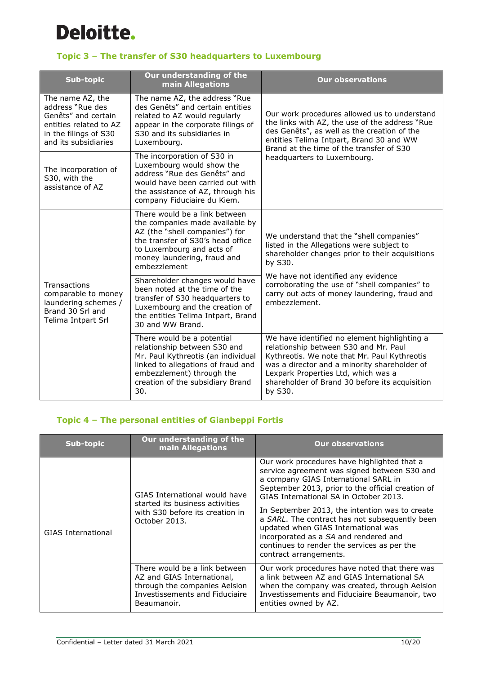

## **Topic 3 – The transfer of S30 headquarters to Luxembourg**

| <b>Sub-topic</b>                                                                                                                       | Our understanding of the<br>main Allegations                                                                                                                                                                        | <b>Our observations</b>                                                                                                                                                                                                                                                                   |
|----------------------------------------------------------------------------------------------------------------------------------------|---------------------------------------------------------------------------------------------------------------------------------------------------------------------------------------------------------------------|-------------------------------------------------------------------------------------------------------------------------------------------------------------------------------------------------------------------------------------------------------------------------------------------|
| The name AZ, the<br>address "Rue des<br>Genêts" and certain<br>entities related to AZ<br>in the filings of S30<br>and its subsidiaries | The name AZ, the address "Rue<br>des Genêts" and certain entities<br>related to AZ would regularly<br>appear in the corporate filings of<br>S30 and its subsidiaries in<br>Luxembourg.                              | Our work procedures allowed us to understand<br>the links with AZ, the use of the address "Rue<br>des Genêts", as well as the creation of the<br>entities Telima Intpart, Brand 30 and WW<br>Brand at the time of the transfer of S30                                                     |
| The incorporation of<br>S30, with the<br>assistance of AZ                                                                              | The incorporation of S30 in<br>Luxembourg would show the<br>address "Rue des Genêts" and<br>would have been carried out with<br>the assistance of AZ, through his<br>company Fiduciaire du Kiem.                    | headquarters to Luxembourg.                                                                                                                                                                                                                                                               |
|                                                                                                                                        | There would be a link between<br>the companies made available by<br>AZ (the "shell companies") for<br>the transfer of S30's head office<br>to Luxembourg and acts of<br>money laundering, fraud and<br>embezzlement | We understand that the "shell companies"<br>listed in the Allegations were subject to<br>shareholder changes prior to their acquisitions<br>by S30.                                                                                                                                       |
| Transactions<br>comparable to money<br>laundering schemes /<br>Brand 30 Srl and<br>Telima Intpart Srl                                  | Shareholder changes would have<br>been noted at the time of the<br>transfer of S30 headquarters to<br>Luxembourg and the creation of<br>the entities Telima Intpart, Brand<br>30 and WW Brand.                      | We have not identified any evidence<br>corroborating the use of "shell companies" to<br>carry out acts of money laundering, fraud and<br>embezzlement.                                                                                                                                    |
|                                                                                                                                        | There would be a potential<br>relationship between S30 and<br>Mr. Paul Kythreotis (an individual<br>linked to allegations of fraud and<br>embezzlement) through the<br>creation of the subsidiary Brand<br>30.      | We have identified no element highlighting a<br>relationship between S30 and Mr. Paul<br>Kythreotis. We note that Mr. Paul Kythreotis<br>was a director and a minority shareholder of<br>Lexpark Properties Ltd, which was a<br>shareholder of Brand 30 before its acquisition<br>by S30. |

### **Topic 4 – The personal entities of Gianbeppi Fortis**

| Sub-topic          | Our understanding of the<br>main Allegations                                                                                                  | <b>Our observations</b>                                                                                                                                                                                                                                                              |
|--------------------|-----------------------------------------------------------------------------------------------------------------------------------------------|--------------------------------------------------------------------------------------------------------------------------------------------------------------------------------------------------------------------------------------------------------------------------------------|
|                    | GIAS International would have<br>started its business activities<br>with S30 before its creation in                                           | Our work procedures have highlighted that a<br>service agreement was signed between S30 and<br>a company GIAS International SARL in<br>September 2013, prior to the official creation of<br>GIAS International SA in October 2013.<br>In September 2013, the intention was to create |
| GIAS International | October 2013.                                                                                                                                 | a SARL. The contract has not subsequently been<br>updated when GIAS International was<br>incorporated as a SA and rendered and<br>continues to render the services as per the<br>contract arrangements.                                                                              |
|                    | There would be a link between<br>AZ and GIAS International,<br>through the companies Aelsion<br>Investissements and Fiduciaire<br>Beaumanoir. | Our work procedures have noted that there was<br>a link between AZ and GIAS International SA<br>when the company was created, through Aelsion<br>Investissements and Fiduciaire Beaumanoir, two<br>entities owned by AZ.                                                             |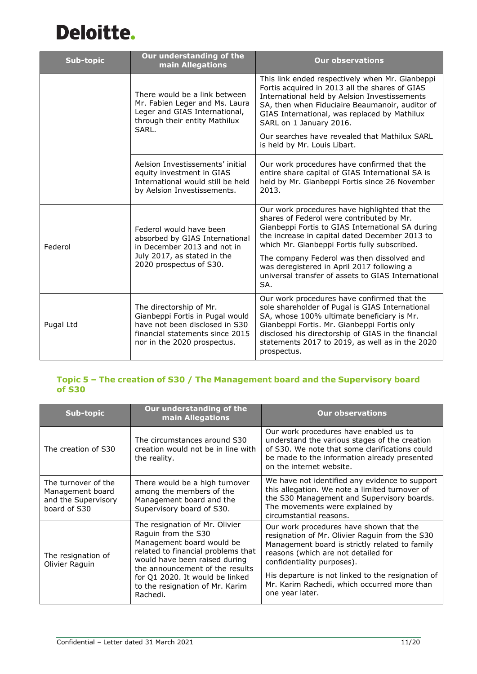

| Sub-topic | Our understanding of the<br>main Allegations                                                                                                                   | <b>Our observations</b>                                                                                                                                                                                                                                                                                                                                           |
|-----------|----------------------------------------------------------------------------------------------------------------------------------------------------------------|-------------------------------------------------------------------------------------------------------------------------------------------------------------------------------------------------------------------------------------------------------------------------------------------------------------------------------------------------------------------|
|           | There would be a link between<br>Mr. Fabien Leger and Ms. Laura<br>Leger and GIAS International,<br>through their entity Mathilux<br>SARL.                     | This link ended respectively when Mr. Gianbeppi<br>Fortis acquired in 2013 all the shares of GIAS<br>International held by Aelsion Investissements<br>SA, then when Fiduciaire Beaumanoir, auditor of<br>GIAS International, was replaced by Mathilux<br>SARL on 1 January 2016.<br>Our searches have revealed that Mathilux SARL<br>is held by Mr. Louis Libart. |
|           | Aelsion Investissements' initial<br>equity investment in GIAS<br>International would still be held<br>by Aelsion Investissements.                              | Our work procedures have confirmed that the<br>entire share capital of GIAS International SA is<br>held by Mr. Gianbeppi Fortis since 26 November<br>2013.                                                                                                                                                                                                        |
| Federol   | Federol would have been<br>absorbed by GIAS International<br>in December 2013 and not in<br>July 2017, as stated in the<br>2020 prospectus of S30.             | Our work procedures have highlighted that the<br>shares of Federol were contributed by Mr.<br>Gianbeppi Fortis to GIAS International SA during<br>the increase in capital dated December 2013 to<br>which Mr. Gianbeppi Fortis fully subscribed.                                                                                                                  |
|           |                                                                                                                                                                | The company Federol was then dissolved and<br>was deregistered in April 2017 following a<br>universal transfer of assets to GIAS International<br>SA.                                                                                                                                                                                                             |
| Pugal Ltd | The directorship of Mr.<br>Gianbeppi Fortis in Pugal would<br>have not been disclosed in S30<br>financial statements since 2015<br>nor in the 2020 prospectus. | Our work procedures have confirmed that the<br>sole shareholder of Pugal is GIAS International<br>SA, whose 100% ultimate beneficiary is Mr.<br>Gianbeppi Fortis. Mr. Gianbeppi Fortis only<br>disclosed his directorship of GIAS in the financial<br>statements 2017 to 2019, as well as in the 2020<br>prospectus.                                              |

### **Topic 5 – The creation of S30 / The Management board and the Supervisory board of S30**

| <b>Sub-topic</b>                                                               | Our understanding of the<br>main Allegations                                                                                                                                                                                                                                   | <b>Our observations</b>                                                                                                                                                                                                                                                                                                                 |
|--------------------------------------------------------------------------------|--------------------------------------------------------------------------------------------------------------------------------------------------------------------------------------------------------------------------------------------------------------------------------|-----------------------------------------------------------------------------------------------------------------------------------------------------------------------------------------------------------------------------------------------------------------------------------------------------------------------------------------|
| The creation of S30                                                            | The circumstances around S30<br>creation would not be in line with<br>the reality.                                                                                                                                                                                             | Our work procedures have enabled us to<br>understand the various stages of the creation<br>of S30. We note that some clarifications could<br>be made to the information already presented<br>on the internet website.                                                                                                                   |
| The turnover of the<br>Management board<br>and the Supervisory<br>board of S30 | There would be a high turnover<br>among the members of the<br>Management board and the<br>Supervisory board of S30.                                                                                                                                                            | We have not identified any evidence to support<br>this allegation. We note a limited turnover of<br>the S30 Management and Supervisory boards.<br>The movements were explained by<br>circumstantial reasons.                                                                                                                            |
| The resignation of<br>Olivier Raguin                                           | The resignation of Mr. Olivier<br>Raguin from the S30<br>Management board would be<br>related to financial problems that<br>would have been raised during<br>the announcement of the results<br>for Q1 2020. It would be linked<br>to the resignation of Mr. Karim<br>Rachedi. | Our work procedures have shown that the<br>resignation of Mr. Olivier Raguin from the S30<br>Management board is strictly related to family<br>reasons (which are not detailed for<br>confidentiality purposes).<br>His departure is not linked to the resignation of<br>Mr. Karim Rachedi, which occurred more than<br>one year later. |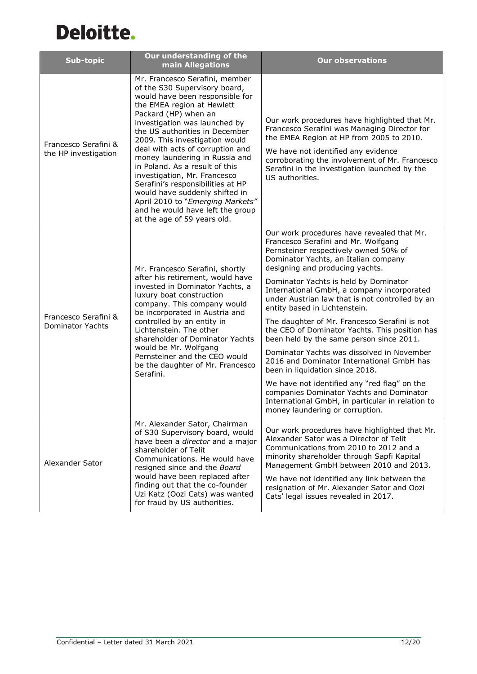| <b>Sub-topic</b>                                | Our understanding of the<br>main Allegations                                                                                                                                                                                                                                                                                                                                                                                                                                                                                                                                        | <b>Our observations</b>                                                                                                                                                                                                                                                                                                                                                                                                                                                                                                                                                                                                                                                                                                                                                                                                                          |
|-------------------------------------------------|-------------------------------------------------------------------------------------------------------------------------------------------------------------------------------------------------------------------------------------------------------------------------------------------------------------------------------------------------------------------------------------------------------------------------------------------------------------------------------------------------------------------------------------------------------------------------------------|--------------------------------------------------------------------------------------------------------------------------------------------------------------------------------------------------------------------------------------------------------------------------------------------------------------------------------------------------------------------------------------------------------------------------------------------------------------------------------------------------------------------------------------------------------------------------------------------------------------------------------------------------------------------------------------------------------------------------------------------------------------------------------------------------------------------------------------------------|
| Francesco Serafini &<br>the HP investigation    | Mr. Francesco Serafini, member<br>of the S30 Supervisory board,<br>would have been responsible for<br>the EMEA region at Hewlett<br>Packard (HP) when an<br>investigation was launched by<br>the US authorities in December<br>2009. This investigation would<br>deal with acts of corruption and<br>money laundering in Russia and<br>in Poland. As a result of this<br>investigation, Mr. Francesco<br>Serafini's responsibilities at HP<br>would have suddenly shifted in<br>April 2010 to "Emerging Markets"<br>and he would have left the group<br>at the age of 59 years old. | Our work procedures have highlighted that Mr.<br>Francesco Serafini was Managing Director for<br>the EMEA Region at HP from 2005 to 2010.<br>We have not identified any evidence<br>corroborating the involvement of Mr. Francesco<br>Serafini in the investigation launched by the<br>US authorities.                                                                                                                                                                                                                                                                                                                                                                                                                                                                                                                                           |
| Francesco Serafini &<br><b>Dominator Yachts</b> | Mr. Francesco Serafini, shortly<br>after his retirement, would have<br>invested in Dominator Yachts, a<br>luxury boat construction<br>company. This company would<br>be incorporated in Austria and<br>controlled by an entity in<br>Lichtenstein. The other<br>shareholder of Dominator Yachts<br>would be Mr. Wolfgang<br>Pernsteiner and the CEO would<br>be the daughter of Mr. Francesco<br>Serafini.                                                                                                                                                                          | Our work procedures have revealed that Mr.<br>Francesco Serafini and Mr. Wolfgang<br>Pernsteiner respectively owned 50% of<br>Dominator Yachts, an Italian company<br>designing and producing yachts.<br>Dominator Yachts is held by Dominator<br>International GmbH, a company incorporated<br>under Austrian law that is not controlled by an<br>entity based in Lichtenstein.<br>The daughter of Mr. Francesco Serafini is not<br>the CEO of Dominator Yachts. This position has<br>been held by the same person since 2011.<br>Dominator Yachts was dissolved in November<br>2016 and Dominator International GmbH has<br>been in liquidation since 2018.<br>We have not identified any "red flag" on the<br>companies Dominator Yachts and Dominator<br>International GmbH, in particular in relation to<br>money laundering or corruption. |
| Alexander Sator                                 | Mr. Alexander Sator, Chairman<br>of S30 Supervisory board, would<br>have been a director and a major<br>shareholder of Telit<br>Communications. He would have<br>resigned since and the Board<br>would have been replaced after<br>finding out that the co-founder<br>Uzi Katz (Oozi Cats) was wanted<br>for fraud by US authorities.                                                                                                                                                                                                                                               | Our work procedures have highlighted that Mr.<br>Alexander Sator was a Director of Telit<br>Communications from 2010 to 2012 and a<br>minority shareholder through Sapfi Kapital<br>Management GmbH between 2010 and 2013.<br>We have not identified any link between the<br>resignation of Mr. Alexander Sator and Oozi<br>Cats' legal issues revealed in 2017.                                                                                                                                                                                                                                                                                                                                                                                                                                                                                 |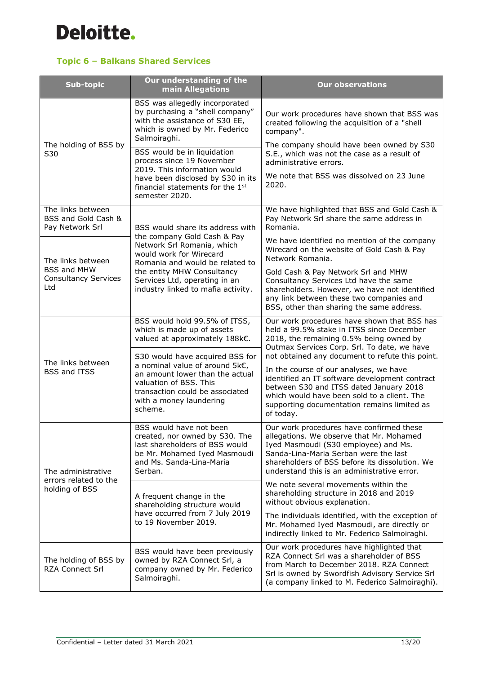### **Topic 6 – Balkans Shared Services**

| Sub-topic                                                   | Our understanding of the<br>main Allegations                                                                                                                                                            | <b>Our observations</b>                                                                                                                                                                                                                                                                           |
|-------------------------------------------------------------|---------------------------------------------------------------------------------------------------------------------------------------------------------------------------------------------------------|---------------------------------------------------------------------------------------------------------------------------------------------------------------------------------------------------------------------------------------------------------------------------------------------------|
|                                                             | BSS was allegedly incorporated<br>by purchasing a "shell company"<br>with the assistance of S30 EE,<br>which is owned by Mr. Federico<br>Salmoiraghi.                                                   | Our work procedures have shown that BSS was<br>created following the acquisition of a "shell<br>company".                                                                                                                                                                                         |
| The holding of BSS by<br>S30                                | BSS would be in liquidation<br>process since 19 November                                                                                                                                                | The company should have been owned by S30<br>S.E., which was not the case as a result of<br>administrative errors.                                                                                                                                                                                |
|                                                             | 2019. This information would<br>have been disclosed by S30 in its<br>financial statements for the 1st<br>semester 2020.                                                                                 | We note that BSS was dissolved on 23 June<br>2020.                                                                                                                                                                                                                                                |
| The links between<br>BSS and Gold Cash &<br>Pay Network Srl | BSS would share its address with                                                                                                                                                                        | We have highlighted that BSS and Gold Cash &<br>Pay Network Srl share the same address in<br>Romania.                                                                                                                                                                                             |
| The links between                                           | the company Gold Cash & Pay<br>Network Srl Romania, which<br>would work for Wirecard<br>Romania and would be related to                                                                                 | We have identified no mention of the company<br>Wirecard on the website of Gold Cash & Pay<br>Network Romania.                                                                                                                                                                                    |
| <b>BSS and MHW</b><br><b>Consultancy Services</b><br>Ltd    | the entity MHW Consultancy<br>Services Ltd, operating in an<br>industry linked to mafia activity.                                                                                                       | Gold Cash & Pay Network Srl and MHW<br>Consultancy Services Ltd have the same<br>shareholders. However, we have not identified<br>any link between these two companies and<br>BSS, other than sharing the same address.                                                                           |
|                                                             | BSS would hold 99.5% of ITSS,<br>which is made up of assets<br>valued at approximately 188k€.                                                                                                           | Our work procedures have shown that BSS has<br>held a 99.5% stake in ITSS since December<br>2018, the remaining 0.5% being owned by<br>Outmax Services Corp. Srl. To date, we have                                                                                                                |
| The links between<br><b>BSS and ITSS</b>                    | S30 would have acquired BSS for<br>a nominal value of around 5k€,<br>an amount lower than the actual<br>valuation of BSS. This<br>transaction could be associated<br>with a money laundering<br>scheme. | not obtained any document to refute this point.<br>In the course of our analyses, we have<br>identified an IT software development contract<br>between S30 and ITSS dated January 2018<br>which would have been sold to a client. The<br>supporting documentation remains limited as<br>of today. |
| The administrative                                          | BSS would have not been<br>created, nor owned by S30. The<br>last shareholders of BSS would<br>be Mr. Mohamed Iyed Masmoudi<br>and Ms. Sanda-Lina-Maria<br>Serban.                                      | Our work procedures have confirmed these<br>allegations. We observe that Mr. Mohamed<br>Iyed Masmoudi (S30 employee) and Ms.<br>Sanda-Lina-Maria Serban were the last<br>shareholders of BSS before its dissolution. We<br>understand this is an administrative error.                            |
| errors related to the<br>holding of BSS                     | A frequent change in the<br>shareholding structure would                                                                                                                                                | We note several movements within the<br>shareholding structure in 2018 and 2019<br>without obvious explanation.                                                                                                                                                                                   |
|                                                             | have occurred from 7 July 2019<br>to 19 November 2019.                                                                                                                                                  | The individuals identified, with the exception of<br>Mr. Mohamed Iyed Masmoudi, are directly or<br>indirectly linked to Mr. Federico Salmoiraghi.                                                                                                                                                 |
| The holding of BSS by<br><b>RZA Connect Srl</b>             | BSS would have been previously<br>owned by RZA Connect Srl, a<br>company owned by Mr. Federico<br>Salmoiraghi.                                                                                          | Our work procedures have highlighted that<br>RZA Connect Srl was a shareholder of BSS<br>from March to December 2018. RZA Connect<br>Srl is owned by Swordfish Advisory Service Srl<br>(a company linked to M. Federico Salmoiraghi).                                                             |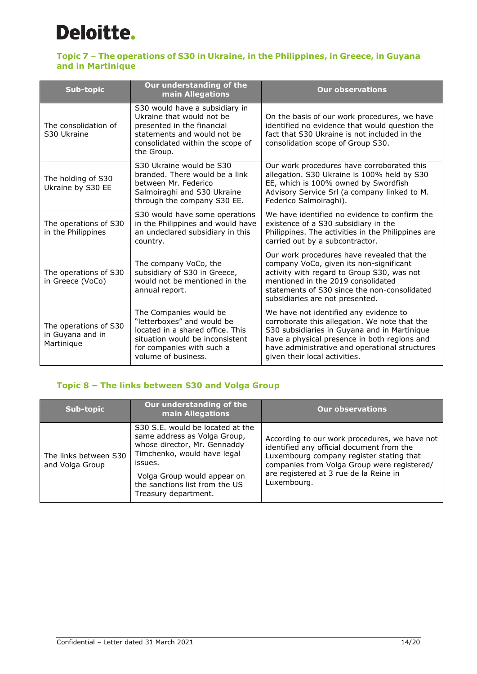### **Topic 7 – The operations of S30 in Ukraine, in the Philippines, in Greece, in Guyana and in Martinique**

| Sub-topic                                               | Our understanding of the<br>main Allegations                                                                                                                                    | <b>Our observations</b>                                                                                                                                                                                                                                                    |
|---------------------------------------------------------|---------------------------------------------------------------------------------------------------------------------------------------------------------------------------------|----------------------------------------------------------------------------------------------------------------------------------------------------------------------------------------------------------------------------------------------------------------------------|
| The consolidation of<br>S30 Ukraine                     | S30 would have a subsidiary in<br>Ukraine that would not be<br>presented in the financial<br>statements and would not be<br>consolidated within the scope of<br>the Group.      | On the basis of our work procedures, we have<br>identified no evidence that would question the<br>fact that S30 Ukraine is not included in the<br>consolidation scope of Group S30.                                                                                        |
| The holding of S30<br>Ukraine by S30 EE                 | S30 Ukraine would be S30<br>branded. There would be a link<br>between Mr. Federico<br>Salmoiraghi and S30 Ukraine<br>through the company S30 EE.                                | Our work procedures have corroborated this<br>allegation. S30 Ukraine is 100% held by S30<br>EE, which is 100% owned by Swordfish<br>Advisory Service Srl (a company linked to M.<br>Federico Salmoiraghi).                                                                |
| The operations of S30<br>in the Philippines             | S30 would have some operations<br>in the Philippines and would have<br>an undeclared subsidiary in this<br>country.                                                             | We have identified no evidence to confirm the<br>existence of a S30 subsidiary in the<br>Philippines. The activities in the Philippines are<br>carried out by a subcontractor.                                                                                             |
| The operations of S30<br>in Greece (VoCo)               | The company VoCo, the<br>subsidiary of S30 in Greece,<br>would not be mentioned in the<br>annual report.                                                                        | Our work procedures have revealed that the<br>company VoCo, given its non-significant<br>activity with regard to Group S30, was not<br>mentioned in the 2019 consolidated<br>statements of S30 since the non-consolidated<br>subsidiaries are not presented.               |
| The operations of S30<br>in Guyana and in<br>Martinique | The Companies would be<br>"letterboxes" and would be<br>located in a shared office. This<br>situation would be inconsistent<br>for companies with such a<br>volume of business. | We have not identified any evidence to<br>corroborate this allegation. We note that the<br>S30 subsidiaries in Guyana and in Martinique<br>have a physical presence in both regions and<br>have administrative and operational structures<br>given their local activities. |

### **Topic 8 – The links between S30 and Volga Group**

| Sub-topic                                | Our understanding of the<br>main Allegations                                                                                                                                                                                        | <b>Our observations</b>                                                                                                                                                                                                                        |
|------------------------------------------|-------------------------------------------------------------------------------------------------------------------------------------------------------------------------------------------------------------------------------------|------------------------------------------------------------------------------------------------------------------------------------------------------------------------------------------------------------------------------------------------|
| The links between S30<br>and Volga Group | S30 S.E. would be located at the<br>same address as Volga Group,<br>whose director, Mr. Gennaddy<br>Timchenko, would have legal<br>issues.<br>Volga Group would appear on<br>the sanctions list from the US<br>Treasury department. | According to our work procedures, we have not<br>identified any official document from the<br>Luxembourg company register stating that<br>companies from Volga Group were registered/<br>are registered at 3 rue de la Reine in<br>Luxembourg. |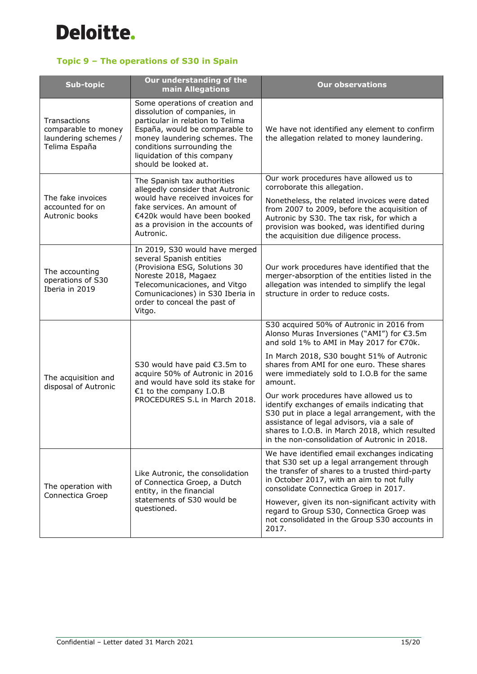

### **Topic 9 – The operations of S30 in Spain**

| Sub-topic                                                                    | Our understanding of the<br>main Allegations                                                                                                                                                                                                                | <b>Our observations</b>                                                                                                                                                                                                                                                                    |
|------------------------------------------------------------------------------|-------------------------------------------------------------------------------------------------------------------------------------------------------------------------------------------------------------------------------------------------------------|--------------------------------------------------------------------------------------------------------------------------------------------------------------------------------------------------------------------------------------------------------------------------------------------|
| Transactions<br>comparable to money<br>laundering schemes /<br>Telima España | Some operations of creation and<br>dissolution of companies, in<br>particular in relation to Telima<br>España, would be comparable to<br>money laundering schemes. The<br>conditions surrounding the<br>liquidation of this company<br>should be looked at. | We have not identified any element to confirm<br>the allegation related to money laundering.                                                                                                                                                                                               |
|                                                                              | The Spanish tax authorities<br>allegedly consider that Autronic                                                                                                                                                                                             | Our work procedures have allowed us to<br>corroborate this allegation.                                                                                                                                                                                                                     |
| The fake invoices<br>accounted for on<br>Autronic books                      | would have received invoices for<br>fake services. An amount of<br>€420k would have been booked<br>as a provision in the accounts of<br>Autronic.                                                                                                           | Nonetheless, the related invoices were dated<br>from 2007 to 2009, before the acquisition of<br>Autronic by S30. The tax risk, for which a<br>provision was booked, was identified during<br>the acquisition due diligence process.                                                        |
| The accounting<br>operations of S30<br>Iberia in 2019                        | In 2019, S30 would have merged<br>several Spanish entities<br>(Provisiona ESG, Solutions 30<br>Noreste 2018, Magaez<br>Telecomunicaciones, and Vitgo<br>Comunicaciones) in S30 Iberia in<br>order to conceal the past of<br>Vitgo.                          | Our work procedures have identified that the<br>merger-absorption of the entities listed in the<br>allegation was intended to simplify the legal<br>structure in order to reduce costs.                                                                                                    |
|                                                                              | S30 would have paid €3.5m to<br>acquire 50% of Autronic in 2016<br>and would have sold its stake for                                                                                                                                                        | S30 acquired 50% of Autronic in 2016 from<br>Alonso Muras Inversiones ("AMI") for €3.5m<br>and sold 1% to AMI in May 2017 for €70k.                                                                                                                                                        |
| The acquisition and<br>disposal of Autronic                                  |                                                                                                                                                                                                                                                             | In March 2018, S30 bought 51% of Autronic<br>shares from AMI for one euro. These shares<br>were immediately sold to I.O.B for the same<br>amount.                                                                                                                                          |
|                                                                              | €1 to the company I.O.B<br>PROCEDURES S.L in March 2018.                                                                                                                                                                                                    | Our work procedures have allowed us to<br>identify exchanges of emails indicating that<br>S30 put in place a legal arrangement, with the<br>assistance of legal advisors, via a sale of<br>shares to I.O.B. in March 2018, which resulted<br>in the non-consolidation of Autronic in 2018. |
| The operation with<br>Connectica Groep                                       | Like Autronic, the consolidation<br>of Connectica Groep, a Dutch<br>entity, in the financial                                                                                                                                                                | We have identified email exchanges indicating<br>that S30 set up a legal arrangement through<br>the transfer of shares to a trusted third-party<br>in October 2017, with an aim to not fully<br>consolidate Connectica Groep in 2017.                                                      |
|                                                                              | statements of S30 would be<br>questioned.                                                                                                                                                                                                                   | However, given its non-significant activity with<br>regard to Group S30, Connectica Groep was<br>not consolidated in the Group S30 accounts in<br>2017.                                                                                                                                    |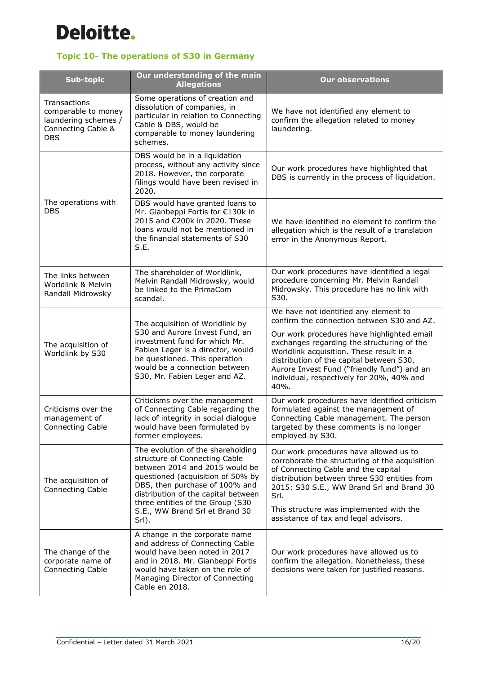

## **Topic 10- The operations of S30 in Germany**

| Sub-topic                                                                                       | Our understanding of the main<br><b>Allegations</b>                                                                                                                                                                                                                                               | <b>Our observations</b>                                                                                                                                                                                                                                                                                                  |
|-------------------------------------------------------------------------------------------------|---------------------------------------------------------------------------------------------------------------------------------------------------------------------------------------------------------------------------------------------------------------------------------------------------|--------------------------------------------------------------------------------------------------------------------------------------------------------------------------------------------------------------------------------------------------------------------------------------------------------------------------|
| Transactions<br>comparable to money<br>laundering schemes /<br>Connecting Cable &<br><b>DBS</b> | Some operations of creation and<br>dissolution of companies, in<br>particular in relation to Connecting<br>Cable & DBS, would be<br>comparable to money laundering<br>schemes.                                                                                                                    | We have not identified any element to<br>confirm the allegation related to money<br>laundering.                                                                                                                                                                                                                          |
| The operations with<br><b>DBS</b>                                                               | DBS would be in a liquidation<br>process, without any activity since<br>2018. However, the corporate<br>filings would have been revised in<br>2020.                                                                                                                                               | Our work procedures have highlighted that<br>DBS is currently in the process of liquidation.                                                                                                                                                                                                                             |
|                                                                                                 | DBS would have granted loans to<br>Mr. Gianbeppi Fortis for €130k in<br>2015 and €200k in 2020. These<br>loans would not be mentioned in<br>the financial statements of S30<br>S.E.                                                                                                               | We have identified no element to confirm the<br>allegation which is the result of a translation<br>error in the Anonymous Report.                                                                                                                                                                                        |
| The links between<br>Worldlink & Melvin<br>Randall Midrowsky                                    | The shareholder of Worldlink,<br>Melvin Randall Midrowsky, would<br>be linked to the PrimaCom<br>scandal.                                                                                                                                                                                         | Our work procedures have identified a legal<br>procedure concerning Mr. Melvin Randall<br>Midrowsky. This procedure has no link with<br>S30.                                                                                                                                                                             |
| The acquisition of<br>Worldlink by S30                                                          | The acquisition of Worldlink by<br>S30 and Aurore Invest Fund, an<br>investment fund for which Mr.<br>Fabien Leger is a director, would<br>be questioned. This operation<br>would be a connection between<br>S30, Mr. Fabien Leger and AZ.                                                        | We have not identified any element to<br>confirm the connection between S30 and AZ.                                                                                                                                                                                                                                      |
|                                                                                                 |                                                                                                                                                                                                                                                                                                   | Our work procedures have highlighted email<br>exchanges regarding the structuring of the<br>Worldlink acquisition. These result in a<br>distribution of the capital between S30,<br>Aurore Invest Fund ("friendly fund") and an<br>individual, respectively for 20%, 40% and<br>40%.                                     |
| Criticisms over the<br>management of<br>Connecting Cable                                        | Criticisms over the management<br>of Connecting Cable regarding the<br>lack of integrity in social dialogue<br>would have been formulated by<br>former employees.                                                                                                                                 | Our work procedures have identified criticism<br>formulated against the management of<br>Connecting Cable management. The person<br>targeted by these comments is no longer<br>employed by S30.                                                                                                                          |
| The acquisition of<br>Connecting Cable                                                          | The evolution of the shareholding<br>structure of Connecting Cable<br>between 2014 and 2015 would be<br>questioned (acquisition of 50% by<br>DBS, then purchase of 100% and<br>distribution of the capital between<br>three entities of the Group (S30<br>S.E., WW Brand Srl et Brand 30<br>Srl). | Our work procedures have allowed us to<br>corroborate the structuring of the acquisition<br>of Connecting Cable and the capital<br>distribution between three S30 entities from<br>2015: S30 S.E., WW Brand Srl and Brand 30<br>Srl.<br>This structure was implemented with the<br>assistance of tax and legal advisors. |
| The change of the<br>corporate name of<br>Connecting Cable                                      | A change in the corporate name<br>and address of Connecting Cable<br>would have been noted in 2017<br>and in 2018. Mr. Gianbeppi Fortis<br>would have taken on the role of<br>Managing Director of Connecting<br>Cable en 2018.                                                                   | Our work procedures have allowed us to<br>confirm the allegation. Nonetheless, these<br>decisions were taken for justified reasons.                                                                                                                                                                                      |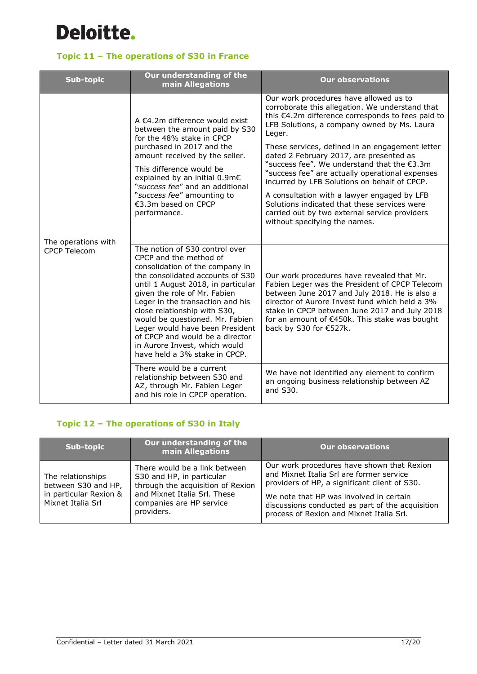

## **Topic 11 – The operations of S30 in France**

| <b>Sub-topic</b>                           | Our understanding of the<br>main Allegations                                                                                                                                                                                                                                                                                                                                                                                                         | <b>Our observations</b>                                                                                                                                                                                                                                                                                                                                                                                                                                                                                                                                                                                                                  |
|--------------------------------------------|------------------------------------------------------------------------------------------------------------------------------------------------------------------------------------------------------------------------------------------------------------------------------------------------------------------------------------------------------------------------------------------------------------------------------------------------------|------------------------------------------------------------------------------------------------------------------------------------------------------------------------------------------------------------------------------------------------------------------------------------------------------------------------------------------------------------------------------------------------------------------------------------------------------------------------------------------------------------------------------------------------------------------------------------------------------------------------------------------|
| The operations with<br><b>CPCP Telecom</b> | A €4.2m difference would exist<br>between the amount paid by S30<br>for the 48% stake in CPCP<br>purchased in 2017 and the<br>amount received by the seller.<br>This difference would be<br>explained by an initial 0.9m€<br>"success fee" and an additional<br>"success fee" amounting to<br>€3.3m based on CPCP<br>performance.                                                                                                                    | Our work procedures have allowed us to<br>corroborate this allegation. We understand that<br>this €4.2m difference corresponds to fees paid to<br>LFB Solutions, a company owned by Ms. Laura<br>Leger.<br>These services, defined in an engagement letter<br>dated 2 February 2017, are presented as<br>"success fee". We understand that the €3.3m<br>"success fee" are actually operational expenses<br>incurred by LFB Solutions on behalf of CPCP.<br>A consultation with a lawyer engaged by LFB<br>Solutions indicated that these services were<br>carried out by two external service providers<br>without specifying the names. |
|                                            | The notion of S30 control over<br>CPCP and the method of<br>consolidation of the company in<br>the consolidated accounts of S30<br>until 1 August 2018, in particular<br>given the role of Mr. Fabien<br>Leger in the transaction and his<br>close relationship with S30,<br>would be questioned. Mr. Fabien<br>Leger would have been President<br>of CPCP and would be a director<br>in Aurore Invest, which would<br>have held a 3% stake in CPCP. | Our work procedures have revealed that Mr.<br>Fabien Leger was the President of CPCP Telecom<br>between June 2017 and July 2018. He is also a<br>director of Aurore Invest fund which held a 3%<br>stake in CPCP between June 2017 and July 2018<br>for an amount of €450k. This stake was bought<br>back by S30 for €527k.                                                                                                                                                                                                                                                                                                              |
|                                            | There would be a current<br>relationship between S30 and<br>AZ, through Mr. Fabien Leger<br>and his role in CPCP operation.                                                                                                                                                                                                                                                                                                                          | We have not identified any element to confirm<br>an ongoing business relationship between AZ<br>and S30.                                                                                                                                                                                                                                                                                                                                                                                                                                                                                                                                 |

### **Topic 12 – The operations of S30 in Italy**

| Sub-topic                                                                               | Our understanding of the<br>main Allegations                                                                                                                              | <b>Our observations</b>                                                                                                                                                                                                                                                            |
|-----------------------------------------------------------------------------------------|---------------------------------------------------------------------------------------------------------------------------------------------------------------------------|------------------------------------------------------------------------------------------------------------------------------------------------------------------------------------------------------------------------------------------------------------------------------------|
| The relationships<br>between S30 and HP,<br>in particular Rexion &<br>Mixnet Italia Srl | There would be a link between<br>S30 and HP, in particular<br>through the acquisition of Rexion<br>and Mixnet Italia Srl. These<br>companies are HP service<br>providers. | Our work procedures have shown that Rexion<br>and Mixnet Italia Srl are former service<br>providers of HP, a significant client of S30.<br>We note that HP was involved in certain<br>discussions conducted as part of the acquisition<br>process of Rexion and Mixnet Italia Srl. |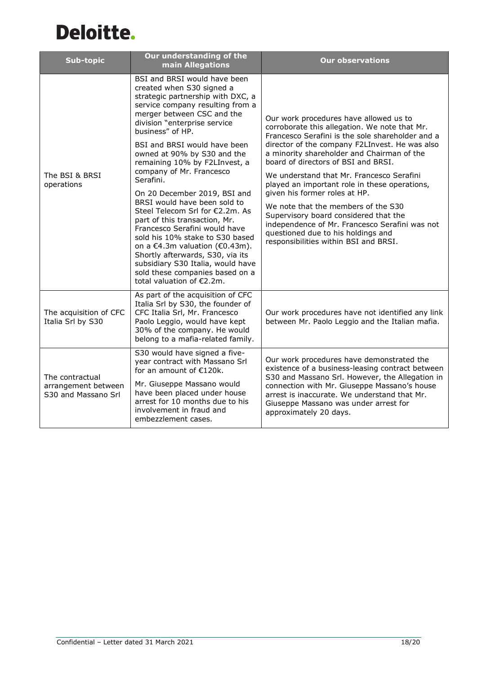

| Sub-topic                                                     | Our understanding of the<br>main Allegations                                                                                                                                                                                                                                                                                                                                                                                                                                                                                                                                                                                                                                                                                                     | <b>Our observations</b>                                                                                                                                                                                                                                                                                                                                                                                                                                                                                                                                                                                                            |
|---------------------------------------------------------------|--------------------------------------------------------------------------------------------------------------------------------------------------------------------------------------------------------------------------------------------------------------------------------------------------------------------------------------------------------------------------------------------------------------------------------------------------------------------------------------------------------------------------------------------------------------------------------------------------------------------------------------------------------------------------------------------------------------------------------------------------|------------------------------------------------------------------------------------------------------------------------------------------------------------------------------------------------------------------------------------------------------------------------------------------------------------------------------------------------------------------------------------------------------------------------------------------------------------------------------------------------------------------------------------------------------------------------------------------------------------------------------------|
| The BSI & BRSI<br>operations                                  | BSI and BRSI would have been<br>created when S30 signed a<br>strategic partnership with DXC, a<br>service company resulting from a<br>merger between CSC and the<br>division "enterprise service<br>business" of HP.<br>BSI and BRSI would have been<br>owned at 90% by S30 and the<br>remaining 10% by F2LInvest, a<br>company of Mr. Francesco<br>Serafini.<br>On 20 December 2019, BSI and<br>BRSI would have been sold to<br>Steel Telecom Srl for €2.2m. As<br>part of this transaction, Mr.<br>Francesco Serafini would have<br>sold his 10% stake to S30 based<br>on a €4.3m valuation (€0.43m).<br>Shortly afterwards, S30, via its<br>subsidiary S30 Italia, would have<br>sold these companies based on a<br>total valuation of €2.2m. | Our work procedures have allowed us to<br>corroborate this allegation. We note that Mr.<br>Francesco Serafini is the sole shareholder and a<br>director of the company F2LInvest. He was also<br>a minority shareholder and Chairman of the<br>board of directors of BSI and BRSI.<br>We understand that Mr. Francesco Serafini<br>played an important role in these operations,<br>given his former roles at HP.<br>We note that the members of the S30<br>Supervisory board considered that the<br>independence of Mr. Francesco Serafini was not<br>questioned due to his holdings and<br>responsibilities within BSI and BRSI. |
| The acquisition of CFC<br>Italia Srl by S30                   | As part of the acquisition of CFC<br>Italia Srl by S30, the founder of<br>CFC Italia Srl, Mr. Francesco<br>Paolo Leggio, would have kept<br>30% of the company. He would<br>belong to a mafia-related family.                                                                                                                                                                                                                                                                                                                                                                                                                                                                                                                                    | Our work procedures have not identified any link<br>between Mr. Paolo Leggio and the Italian mafia.                                                                                                                                                                                                                                                                                                                                                                                                                                                                                                                                |
| The contractual<br>arrangement between<br>S30 and Massano Srl | S30 would have signed a five-<br>year contract with Massano Srl<br>for an amount of €120k.<br>Mr. Giuseppe Massano would<br>have been placed under house<br>arrest for 10 months due to his<br>involvement in fraud and<br>embezzlement cases.                                                                                                                                                                                                                                                                                                                                                                                                                                                                                                   | Our work procedures have demonstrated the<br>existence of a business-leasing contract between<br>S30 and Massano Srl. However, the Allegation in<br>connection with Mr. Giuseppe Massano's house<br>arrest is inaccurate. We understand that Mr.<br>Giuseppe Massano was under arrest for<br>approximately 20 days.                                                                                                                                                                                                                                                                                                                |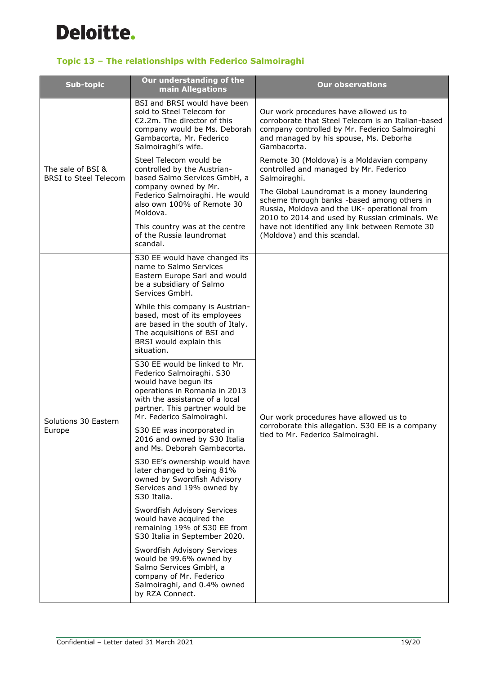

## **Topic 13 – The relationships with Federico Salmoiraghi**

| <b>Sub-topic</b>                                  | Our understanding of the<br>main Allegations                                                                                                                                                                         | <b>Our observations</b>                                                                                                                                                                                                                                                                                                                                                               |
|---------------------------------------------------|----------------------------------------------------------------------------------------------------------------------------------------------------------------------------------------------------------------------|---------------------------------------------------------------------------------------------------------------------------------------------------------------------------------------------------------------------------------------------------------------------------------------------------------------------------------------------------------------------------------------|
| The sale of BSI &<br><b>BRSI</b> to Steel Telecom | BSI and BRSI would have been<br>sold to Steel Telecom for<br>$E$ 2.2m. The director of this<br>company would be Ms. Deborah<br>Gambacorta, Mr. Federico<br>Salmoiraghi's wife.                                       | Our work procedures have allowed us to<br>corroborate that Steel Telecom is an Italian-based<br>company controlled by Mr. Federico Salmoiraghi<br>and managed by his spouse, Ms. Deborha<br>Gambacorta.                                                                                                                                                                               |
|                                                   | Steel Telecom would be<br>controlled by the Austrian-<br>based Salmo Services GmbH, a<br>company owned by Mr.<br>Federico Salmoiraghi. He would<br>also own 100% of Remote 30<br>Moldova.                            | Remote 30 (Moldova) is a Moldavian company<br>controlled and managed by Mr. Federico<br>Salmoiraghi.<br>The Global Laundromat is a money laundering<br>scheme through banks -based among others in<br>Russia, Moldova and the UK- operational from<br>2010 to 2014 and used by Russian criminals. We<br>have not identified any link between Remote 30<br>(Moldova) and this scandal. |
|                                                   | This country was at the centre<br>of the Russia laundromat<br>scandal.                                                                                                                                               |                                                                                                                                                                                                                                                                                                                                                                                       |
| Solutions 30 Eastern<br>Europe                    | S30 EE would have changed its<br>name to Salmo Services<br>Eastern Europe Sarl and would<br>be a subsidiary of Salmo<br>Services GmbH.                                                                               | Our work procedures have allowed us to<br>corroborate this allegation. S30 EE is a company<br>tied to Mr. Federico Salmoiraghi.                                                                                                                                                                                                                                                       |
|                                                   | While this company is Austrian-<br>based, most of its employees<br>are based in the south of Italy.<br>The acquisitions of BSI and<br>BRSI would explain this<br>situation.                                          |                                                                                                                                                                                                                                                                                                                                                                                       |
|                                                   | S30 EE would be linked to Mr.<br>Federico Salmoiraghi. S30<br>would have begun its<br>operations in Romania in 2013<br>with the assistance of a local<br>partner. This partner would be<br>Mr. Federico Salmoiraghi. |                                                                                                                                                                                                                                                                                                                                                                                       |
|                                                   | S30 EE was incorporated in<br>2016 and owned by S30 Italia<br>and Ms. Deborah Gambacorta.                                                                                                                            |                                                                                                                                                                                                                                                                                                                                                                                       |
|                                                   | S30 EE's ownership would have<br>later changed to being 81%<br>owned by Swordfish Advisory<br>Services and 19% owned by<br>S30 Italia.                                                                               |                                                                                                                                                                                                                                                                                                                                                                                       |
|                                                   | Swordfish Advisory Services<br>would have acquired the<br>remaining 19% of S30 EE from<br>S30 Italia in September 2020.                                                                                              |                                                                                                                                                                                                                                                                                                                                                                                       |
|                                                   | Swordfish Advisory Services<br>would be 99.6% owned by<br>Salmo Services GmbH, a<br>company of Mr. Federico<br>Salmoiraghi, and 0.4% owned<br>by RZA Connect.                                                        |                                                                                                                                                                                                                                                                                                                                                                                       |